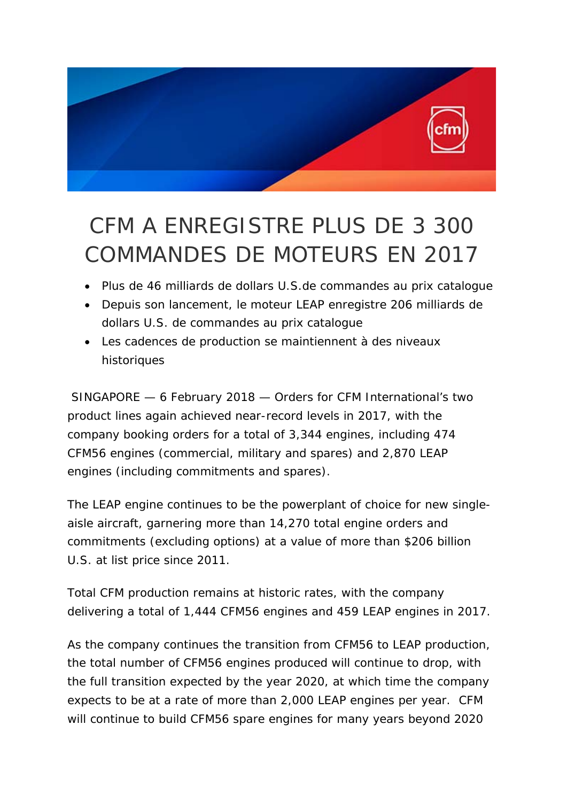

## CFM A ENREGISTRE PLUS DE 3 300 COMMANDES DE MOTEURS EN 2017

- Plus de 46 milliards de dollars U.S.de commandes au prix catalogue
- Depuis son lancement, le moteur LEAP enregistre 206 milliards de dollars U.S. de commandes au prix catalogue
- Les cadences de production se maintiennent à des niveaux historiques

SINGAPORE — 6 February 2018 — Orders for CFM International's two product lines again achieved near-record levels in 2017, with the company booking orders for a total of 3,344 engines, including 474 CFM56 engines (commercial, military and spares) and 2,870 LEAP engines (including commitments and spares).

The LEAP engine continues to be the powerplant of choice for new singleaisle aircraft, garnering more than 14,270 total engine orders and commitments (excluding options) at a value of more than \$206 billion U.S. at list price since 2011.

Total CFM production remains at historic rates, with the company delivering a total of 1,444 CFM56 engines and 459 LEAP engines in 2017.

As the company continues the transition from CFM56 to LEAP production, the total number of CFM56 engines produced will continue to drop, with the full transition expected by the year 2020, at which time the company expects to be at a rate of more than 2,000 LEAP engines per year. CFM will continue to build CFM56 spare engines for many years beyond 2020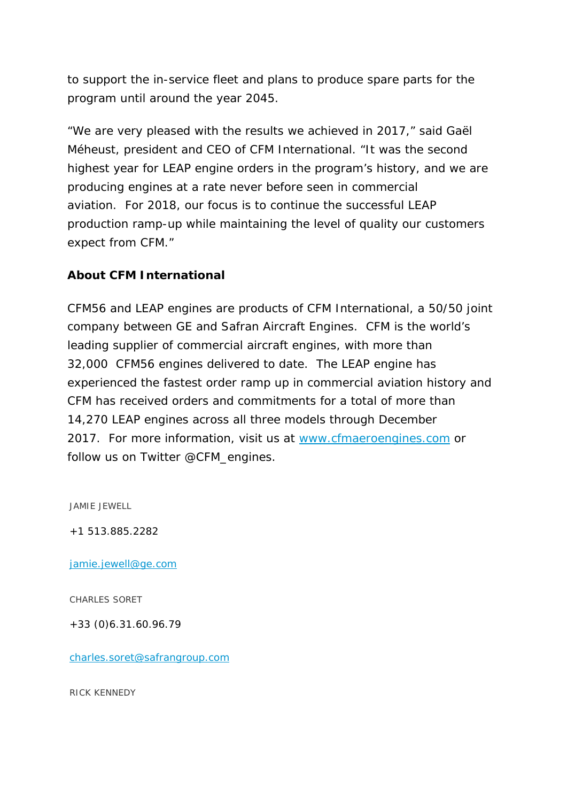to support the in-service fleet and plans to produce spare parts for the program until around the year 2045.

"We are very pleased with the results we achieved in 2017," said Gaël Méheust, president and CEO of CFM International. "It was the second highest year for LEAP engine orders in the program's history, and we are producing engines at a rate never before seen in commercial aviation. For 2018, our focus is to continue the successful LEAP production ramp-up while maintaining the level of quality our customers expect from CFM."

## **About CFM International**

CFM56 and LEAP engines are products of CFM International, a 50/50 joint company between GE and Safran Aircraft Engines. CFM is the world's leading supplier of commercial aircraft engines, with more than 32,000 CFM56 engines delivered to date. The LEAP engine has experienced the fastest order ramp up in commercial aviation history and CFM has received orders and commitments for a total of more than 14,270 LEAP engines across all three models through December 2017. For more information, visit us at www.cfmaeroengines.com or follow us on Twitter @CFM\_engines.

JAMIE JEWELL

+1 513.885.2282

jamie.jewell@ge.com

CHARLES SORET

+33 (0)6.31.60.96.79

charles.soret@safrangroup.com

RICK KENNEDY